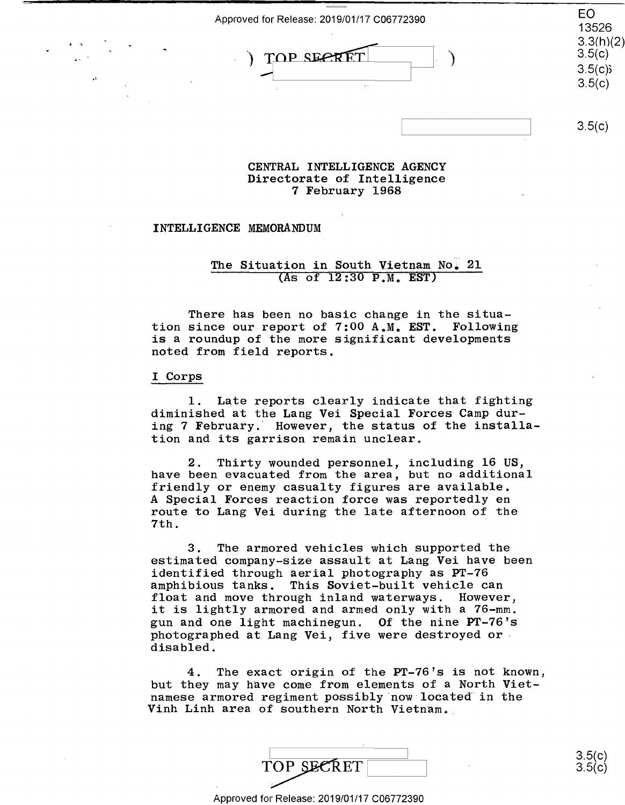Approved for Release: 2019/01/17 C06772390 Approved forRelease: 2019/01/17 C06772390 E0

) TOP SECRET  $( )$  $3.3(h)(2)$ TOP SECRF /

1::

EO 13526 . 13526 3.3(h)(2)  $3.5(c)$  $3.5(c)$  $3.5(c)$ 

 $3.5(c)$ 

#### **CENTRAL INTELLIGENCE AGENCY**  CENTRAL INTELLIGENCE AGENCY Directorate of Intelligence Directorate of Intelligence 7 February 1968 7 February 1968

### INTELLIGENCE MEMORANDUM INTELLIGENCE MEMORANDUM

### The Situation in South Vietnam No. 21  $($ As of  $12:30$  P.M. EST)

There has been no basic change in the situa-There has been no basic change in the situa tion since our report of 7:00 **AoMo EST.** Following tion since our report of 7:00 A.M. EST. Following is a roundup of the more significant developments is <sup>a</sup> roundup of the more significant developments noted from field reports. noted from field reports.

### I Corps I Corps

1. Late reports clearly indicate that fighting 1. Late reports clearly indicate that fighting diminished at the Lang Vei Special Forces Camp dur-diminished at the Lang Vei Special Forces Camp dur aiminished as the lang ver special refers camp and ing 7 February. However, the status of the installation and its garrison remain unclear. tion and its garrison remain unclear.

2. Thirty wounded personnel, including 16 US, 2. Thirty wounded personnel, including 16 US, have been evacuated from the area, but no additional have been evacuated from the area, but no additional friendly or enemy casualty figures are available. friendly or enemy casualty figures are available. A Special Forces reaction force was reportedly en A Special Forces reaction force was reportedly en route to Lang Vei during the late afternoon of the route to Lang Vei during the late afternoon of the<br>7th. 7th.

3. The armored vehicles which supported the 3. The armored vehicles which supported the estimated company-size assault at Lang Vei have been identified through aerial photography as PT-76 identified through aerial photography as PT—76 amphibious tanks. This Soviet-built vehicle can amphibious tanks. This Soviet—built vehicle can float and move through inland waterways. However, float and move through inland waterways. However, it is lightly armored and armed only with a 76-mm. it is lightly armored and armed only with <sup>a</sup> 76-mm. gun and one light machinegun. Of the nine PT-76's gun and one light machinegun. 0f the nine PT—76's photographed at Lang Vei, five were destroyed or photographed at Lang Vei, five were destroyed ordisabled. disabled.

4. The exact origin of the PT-76's is not known, 4. The exact origin of the PT—76's is not known, but they may have come from elements of a North Viet-but they may have come from elements of <sup>a</sup> North Viet namese armored regiment possibly ·now located in the namese armored regiment possibly now located'in the Winh Linh area of southern North Vietnam.

|  | TOP SECRET |  | こ にん<br>∪.∪∖<br>3.51<br>$\mathsf{v} \mathsf{v}$ |
|--|------------|--|-------------------------------------------------|
|--|------------|--|-------------------------------------------------|

Approved for Release: 2019/01/17 C06772390 Approved for Release: 2019/01/17 006772390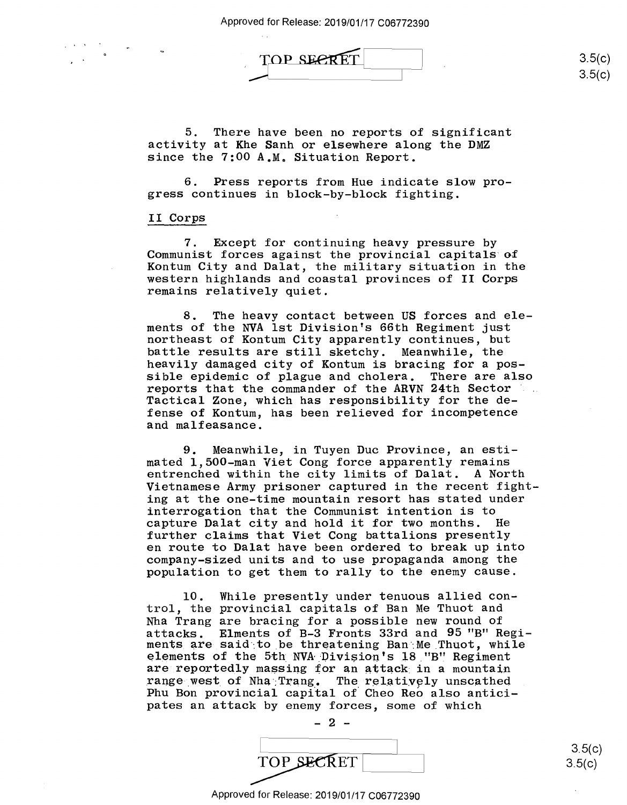Approved for Release: 2019/01/17 C06772390 Approved for Release: 2019/01/17 006772390

TOP SECRET

 $3.5(c)$  $3.5(c)$ 

5. There have been no reports of significant 5. There have been no reports of significant activity at Khe Sanh or elsewhere along the DMZ activity at Khe Sanh or elsewhere along the DMZ since the 7:00 A.M. Situation Report. since the 7:00 A.M. Situation Report.

6. Press reports from Hue indicate slow pro-6. Press reports from Hue indicate slow pro gress continues in block-by-block fighting. gress continues in block-by—block fighting.

# II Corps II Corps

7. Except for continuing heavy pressure by 7. Except for continuing heavy pressure by Communist forces against the provincial capitals of Communist forces against the provincial capitals of Kontum City and Dalat, the military situation in the Kontum City and Dalat, the military situation in the western highlands and coastal provinces of II Corps western highlands and coastal provinces of II Corps remains relatively quiet. remains relatively quiet.

8. The heavy contact between US forces and ele-8. The heavy contact between US forces and ele ments of the NVA 1st Division's 66th Regiment just ments of the NVA lst Division's 66th Regiment just northeast of Kontum City apparently continues, but northeast of Kontum City apparently continues, but battle results are still sketchy. Meanwhile, the battle results are still sketchy. Meanwhile, the heavily damaged city of Kontum is bracing for a pos-heavily damaged city of Kontum is bracing for <sup>a</sup> pos sible epidemic of plague and cholera. There are also sible epidemic of plague and cholera. There are also reports that the commander of the **ARVN** 24th Sector reports that the commander of the ARVN 24th Sector Tactical Zone, which has responsibility for the de-Tactical Zone, which has responsibility for the de fense of Kontum, has been relieved for incompetence fense of Kontum, has been relieved for incompetence and malfeasance. and malfeasance.

9. Meanwhile, in Tuyen Due Province, an esti-9. Meanwhile, in Tuyen Duc Province, an esti mated 1,500-man Viet Cong force apparently remains mated l,500-man Viet Cong force apparently remains entrenched within the city limits of Dalat. A North entrenched within the city limits of Dalat. A North Vietnamese Army prisoner captured in the recent fight-Vietnamese Army prisoner captured in the recent fight ing at the one-time mountain resort has stated under ing at the one—time mountain resort has stated under interrogation that the Communist intention is to interrogation that the Communist intention is to capture Dalat city and hold it for two months. He capture Dalat city and hold it for two months. He further claims that Viet Cong battalions presently further claims that Viet Cong battalions presently en route to Dalat have been ordered to break up into en route to Dalat have been ordered to break up into company-sized units and to use propaganda among the company—sized units and to use prOpaganda among the population to get them to rally to the enemy cause. population to get them torally to the enemy cause.

10. While presently under tenuous allied con-10. While presently under tenuous allied con trol, the provincial capitals of Ban Me Thuot and trol, the provincial capitals of Ban Me Thuot and Nha Trang are bracing for a possible new round of Nha Trang are bracing for <sup>a</sup> possible new round of attacks. Elments of B-3 Fronts 33rd and 95 "B" Regi-attacks. Elments of B—3 Fronts 33rd and 95 "B'I Regiattacks. Einents of B-5 fromts odid and so B hogi delements of the 5th NVA Division's 18 "B" Regiment are reportedly massing for an attack in a mountain range west of Nha Trang. The relatively unscathed Phu Bon provincial capital of Cheo Reo also antici-Phu Bon provincial capital of Cheo Reo also anticipates an attack by enemy forces, some of which pates an attack by enemy forces, some of which

 $-2 -$ TOP SECRET  $3.5(c)$  $\text{TOP}$   $\text{SE}\text{RET}$  3.5(c)

3.5(c) 3.5(c)

#### Approved for Release: 2019/01/17 C06772390 Approved for Release: 2019/01/17 006772390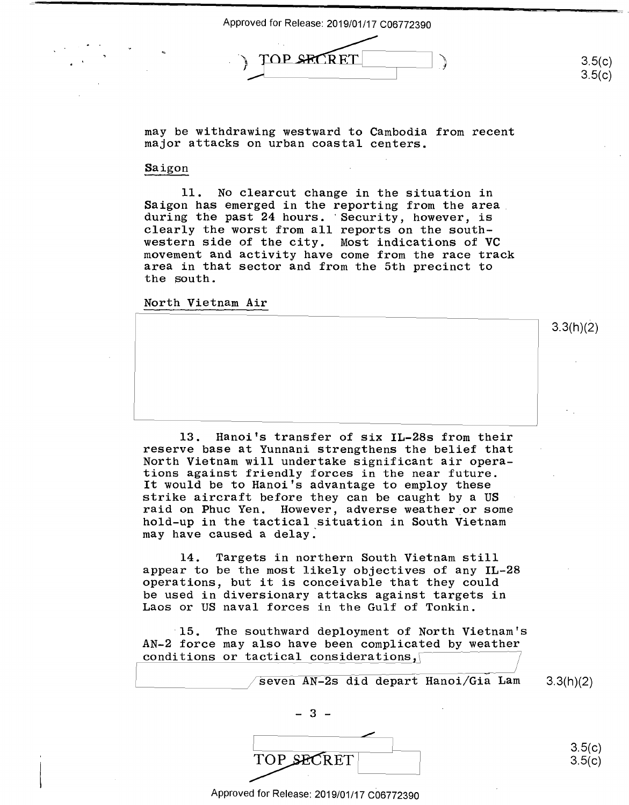Approved for Release: 2019/01/17 C06772390 Approved for Release: 2019/01/17 C06772390  $\int$ TOP SECRET

3.5(c) 3.5(c)

3.3(h)(2) 3.3(h)(2)

may be withdrawing westward to Cambodia from recent may be withdrawing westward to Cambodia from recent major attacks on urban coastal centers. major attacks on urban coastal centers.

## Saigon Saigon

11. No clearcut change in the situation in 11. No clearcut change in the situation in Saigon has emerged in the reporting from the area. during the past 24 hours. · Security, however, is during the past 24 hours. 'Security, however, is clearly the worst from all reports on the south-clearly the worst from all reports on the south western side of the city. Most indications of **VC**  western side of the city. Most indications of VC<br>movement and activity have come from the race track area in that sector and from the 5th precinct to area in that sector and from the 5th precinct to the south. movement and activity have come from the race track

North Vietnam Air North Vietnam Air

13. Hanoi's transfer of six IL-28s from their 13. Hanoi's transfer of six IL-283 from their reserve base at Yunnani strengthens the belief that North Vietnam will undertake significant air opera-North Vietnam will undertake significant air opera tions against friendly forces in the near future. tions against friendly forces in the near future. It would be to Hanoi's advantage to employ these It would be to Hanoi's advantage to employ these strike aircraft before they can be caught by a US strike aircraft before they can be caught by a U**S**<br>raid on Phuc Yen. However, adverse weather or some hold-up in the tactical situation in South Vietnam hold-up in the tactical situation in South Vietnam may have caused a delay: may have caused <sup>a</sup> delay. raid on Phuc Yen. However, adverse weather or some

14. Targets in northern South Vietnam still 14. Targets in northern South Vietnam still appear to be the most likely objectives of any **IL-28**  appear to be the most likely objectives of any IL—28 appear to be the most likely objectives of any IL-28<br>operations, but it is conceivable that they could be used in diversionary attacks against targets in be used in diversionary attacks against targets in Laos or US naval forces in the Gulf of Tonkin. Laos or US naval forces in the Gulf of Tonkin.

15. The southward deployment of North Vietnam's '15. The southward deployment of North Vietnam's AN-2 force may also have been complicated by weather AN—2 force may also have been complicated by weather conditions or tactical considerations conditions or tactical considerations

seven AN-2s did depart Hanoi/Gia Lam 3.3(h)(2) 3.3(h)(2) - 3 -  $3.5(c)$ TOP SECRET 3.5(c)

Approved for Release: 2019/01/17 C06772390 Approved for Release: 2019/01/17 006772390